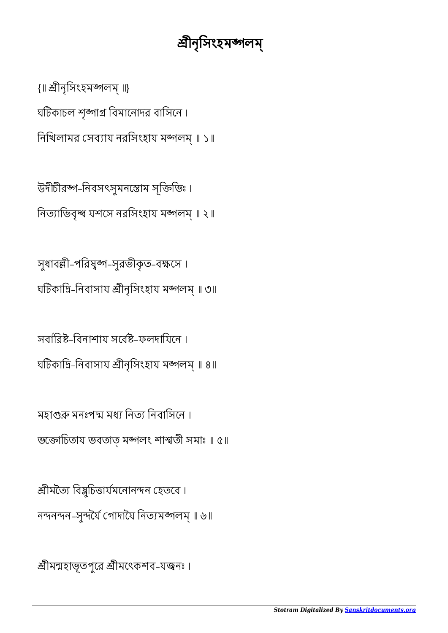শ্রীমন্মহাভূতপুরে শ্রীমৎেকশব-যজ্বনঃ ।

শ্ৰীমত্যৈ বিষ্ণুচিত্তাৰ্যমনোনন্দন হেতবে। নন্দনন্দন-সুন্দৰ্যৈ গোদায়ৈ নিত্যমব্জালম্ ॥ ৬॥

মহাগুরু মনঃপদ্ম মধ্য নিত্য নিবাসিনে। ভোিচতায ভবতাত্ মলং শাতী সমাঃ ॥ ৫॥

সবাবিষ্ট-বিনাশায সর্বেষ্ট-ফলদায়িনে । ঘটিকাদ্রি-নিবাসায শ্রীনৃসিংহায মঙ্গলম্ ॥ ৪॥

সুধাবল্লী-পরিষুষ্প-সুরভীকৃত-বক্ষসে। ঘটিকাদ্রি-নিবাসায শ্রীনৃসিংহায মঙ্গলম্ ॥ ৩॥

উদীচীরঙ্গ-নিবসৎসুমনস্তোম সৃক্তিভিঃ। নিত্যাভিবৃন্ধ যশসে নরসিংহায মঙ্গলম্ ॥ ২॥

ঘটিকাচল শৃঙ্গাগ্র বিমানোদর বাসিনে। নিখিলামর সেব্যায নরসিংহায মঙ্গলম্ ॥ ১॥

{॥ ীনৃিসংহমলম্ ॥}

## ীনৃিসংহমলম্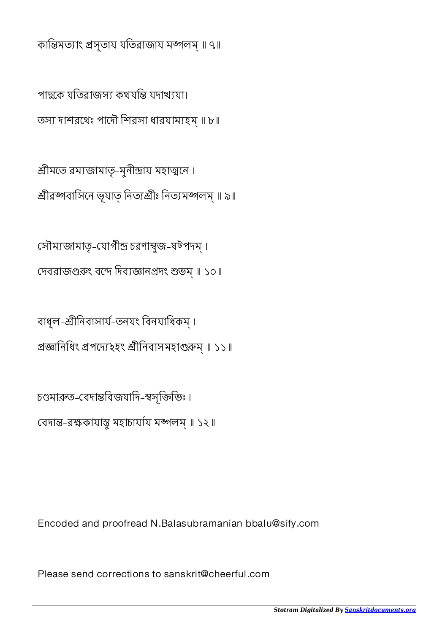কান্তিমত্যাং প্রসৃতায যতিরাজায মঙ্গলম্ ॥ ৭॥

পাহ্বকে যতিরাজস্য কথযন্তি যদাখ্যযা। তস্য দাশরথেঃ পাদৌ শিরসা ধারযাম্যহম্॥ ৮॥

শ্রীমতে রম্যজামাতৃ-মুনীন্দ্রায় মহাত্মনে। শ্রীরব্দবাসিনে ভূযাত্ নিত্যশ্রীঃ নিত্যমঙ্গলম্ ॥ ৯॥

সৌম্যজামাতৃ-যোগীন্দ্র চরণাম্বজ-ষটপদম্। দেবরাজগুরুং বন্দে দিব্যজ্ঞানপ্রদং শুভম্ ॥ ১০॥

বাধূল-শ্ৰীনিবাসাৰ্য-তনযং বিনযাধিকম্। প্রজ্ঞানিধিং প্রপদ্যে ২হং শ্রীনিবাসমহাগুরুম্ ॥ ১১॥

চণ্ডমারুত-বেদান্তবিজযাদি-স্বসৃক্তিভিঃ। বেদান্ত-রক্ষকাযান্ত মহাচায়য মঙ্গলম্ ॥ ১২॥

Encoded and proofread N.Balasubramanian bbalu@sify.com

Please send corrections to sanskrit@cheerful.com